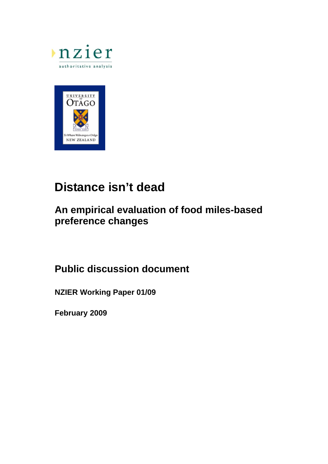



# **Distance isn't dead**

# **An empirical evaluation of food miles-based preference changes**

# **Public discussion document**

**NZIER Working Paper 01/09** 

**February 2009**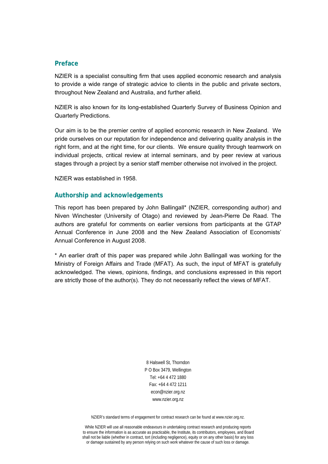### **Preface**

NZIER is a specialist consulting firm that uses applied economic research and analysis to provide a wide range of strategic advice to clients in the public and private sectors, throughout New Zealand and Australia, and further afield.

NZIER is also known for its long-established Quarterly Survey of Business Opinion and Quarterly Predictions.

Our aim is to be the premier centre of applied economic research in New Zealand. We pride ourselves on our reputation for independence and delivering quality analysis in the right form, and at the right time, for our clients. We ensure quality through teamwork on individual projects, critical review at internal seminars, and by peer review at various stages through a project by a senior staff member otherwise not involved in the project.

NZIER was established in 1958.

### **Authorship and acknowledgements**

This report has been prepared by John Ballingall\* (NZIER, corresponding author) and Niven Winchester (University of Otago) and reviewed by Jean-Pierre De Raad. The authors are grateful for comments on earlier versions from participants at the GTAP Annual Conference in June 2008 and the New Zealand Association of Economists' Annual Conference in August 2008.

\* An earlier draft of this paper was prepared while John Ballingall was working for the Ministry of Foreign Affairs and Trade (MFAT). As such, the input of MFAT is gratefully acknowledged. The views, opinions, findings, and conclusions expressed in this report are strictly those of the author(s). They do not necessarily reflect the views of MFAT.

> 8 Halswell St, Thorndon P O Box 3479, Wellington Tel: +64 4 472 1880 Fax: +64 4 472 1211 econ@nzier.org.nz www.nzier.org.nz

NZIER's standard terms of engagement for contract research can be found at www.nzier.org.nz.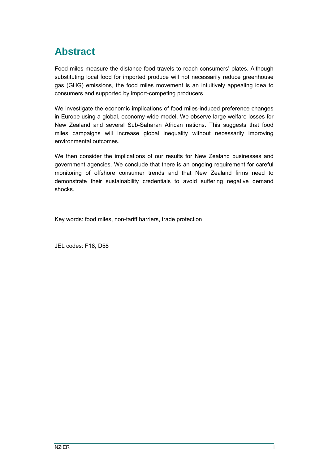# **Abstract**

Food miles measure the distance food travels to reach consumers' plates. Although substituting local food for imported produce will not necessarily reduce greenhouse gas (GHG) emissions, the food miles movement is an intuitively appealing idea to consumers and supported by import-competing producers.

We investigate the economic implications of food miles-induced preference changes in Europe using a global, economy-wide model. We observe large welfare losses for New Zealand and several Sub-Saharan African nations. This suggests that food miles campaigns will increase global inequality without necessarily improving environmental outcomes.

We then consider the implications of our results for New Zealand businesses and government agencies. We conclude that there is an ongoing requirement for careful monitoring of offshore consumer trends and that New Zealand firms need to demonstrate their sustainability credentials to avoid suffering negative demand shocks.

Key words: food miles, non-tariff barriers, trade protection

JEL codes: F18, D58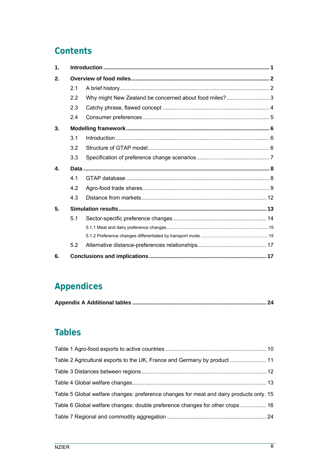# **Contents**

| $\mathbf 1$      |     |                                                        |  |  |  |  |  |
|------------------|-----|--------------------------------------------------------|--|--|--|--|--|
| 2.               |     |                                                        |  |  |  |  |  |
|                  | 2.1 |                                                        |  |  |  |  |  |
|                  | 2.2 | Why might New Zealand be concerned about food miles? 3 |  |  |  |  |  |
|                  | 2.3 |                                                        |  |  |  |  |  |
|                  | 2.4 |                                                        |  |  |  |  |  |
| 3.               |     |                                                        |  |  |  |  |  |
|                  | 3.1 |                                                        |  |  |  |  |  |
|                  | 3.2 |                                                        |  |  |  |  |  |
|                  | 3.3 |                                                        |  |  |  |  |  |
| $\blacktriangle$ |     |                                                        |  |  |  |  |  |
|                  | 4.1 |                                                        |  |  |  |  |  |
|                  | 4.2 |                                                        |  |  |  |  |  |
|                  | 4.3 |                                                        |  |  |  |  |  |
| 5.               |     |                                                        |  |  |  |  |  |
|                  | 5.1 |                                                        |  |  |  |  |  |
|                  |     |                                                        |  |  |  |  |  |
|                  |     |                                                        |  |  |  |  |  |
|                  | 5.2 |                                                        |  |  |  |  |  |
| 6.               |     |                                                        |  |  |  |  |  |

# **Appendices**

|--|--|

# **Tables**

| Table 2 Agricultural exports to the UK, France and Germany by product  11               |  |
|-----------------------------------------------------------------------------------------|--|
|                                                                                         |  |
|                                                                                         |  |
| Table 5 Global welfare changes: preference changes for meat and dairy products only. 15 |  |
| Table 6 Global welfare changes: double preference changes for other crops  16           |  |
|                                                                                         |  |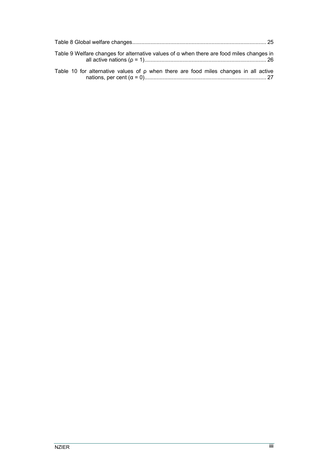| Table 9 Welfare changes for alternative values of $\alpha$ when there are food miles changes in |  |
|-------------------------------------------------------------------------------------------------|--|
| Table 10 for alternative values of $\rho$ when there are food miles changes in all active       |  |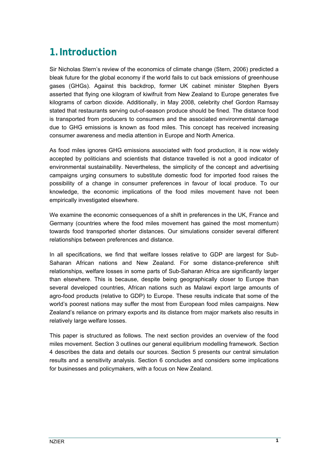# <span id="page-8-0"></span>**1.Introduction**

Sir Nicholas Stern's review of the economics of climate change (Stern, 2006) predicted a bleak future for the global economy if the world fails to cut back emissions of greenhouse gases (GHGs). Against this backdrop, former UK cabinet minister Stephen Byers asserted that flying one kilogram of kiwifruit from New Zealand to Europe generates five kilograms of carbon dioxide. Additionally, in May 2008, celebrity chef Gordon Ramsay stated that restaurants serving out-of-season produce should be fined. The distance food is transported from producers to consumers and the associated environmental damage due to GHG emissions is known as food miles. This concept has received increasing consumer awareness and media attention in Europe and North America.

As food miles ignores GHG emissions associated with food production, it is now widely accepted by politicians and scientists that distance travelled is not a good indicator of environmental sustainability. Nevertheless, the simplicity of the concept and advertising campaigns urging consumers to substitute domestic food for imported food raises the possibility of a change in consumer preferences in favour of local produce. To our knowledge, the economic implications of the food miles movement have not been empirically investigated elsewhere.

We examine the economic consequences of a shift in preferences in the UK, France and Germany (countries where the food miles movement has gained the most momentum) towards food transported shorter distances. Our simulations consider several different relationships between preferences and distance.

In all specifications, we find that welfare losses relative to GDP are largest for Sub-Saharan African nations and New Zealand. For some distance-preference shift relationships, welfare losses in some parts of Sub-Saharan Africa are significantly larger than elsewhere. This is because, despite being geographically closer to Europe than several developed countries, African nations such as Malawi export large amounts of agro-food products (relative to GDP) to Europe. These results indicate that some of the world's poorest nations may suffer the most from European food miles campaigns. New Zealand's reliance on primary exports and its distance from major markets also results in relatively large welfare losses.

This paper is structured as follows. The next section provides an overview of the food miles movement. Section 3 outlines our general equilibrium modelling framework. Section 4 describes the data and details our sources. Section 5 presents our central simulation results and a sensitivity analysis. Section 6 concludes and considers some implications for businesses and policymakers, with a focus on New Zealand.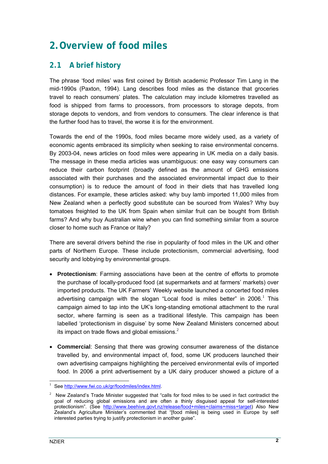# <span id="page-9-0"></span>**2.Overview of food miles**

## **2.1 A brief history**

The phrase 'food miles' was first coined by British academic Professor Tim Lang in the mid-1990s (Paxton, 1994). Lang describes food miles as the distance that groceries travel to reach consumers' plates. The calculation may include kilometres travelled as food is shipped from farms to processors, from processors to storage depots, from storage depots to vendors, and from vendors to consumers. The clear inference is that the further food has to travel, the worse it is for the environment.

Towards the end of the 1990s, food miles became more widely used, as a variety of economic agents embraced its simplicity when seeking to raise environmental concerns. By 2003-04, news articles on food miles were appearing in UK media on a daily basis. The message in these media articles was unambiguous: one easy way consumers can reduce their carbon footprint (broadly defined as the amount of GHG emissions associated with their purchases and the associated environmental impact due to their consumption) is to reduce the amount of food in their diets that has travelled long distances. For example, these articles asked: why buy lamb imported 11,000 miles from New Zealand when a perfectly good substitute can be sourced from Wales? Why buy tomatoes freighted to the UK from Spain when similar fruit can be bought from British farms? And why buy Australian wine when you can find something similar from a source closer to home such as France or Italy?

There are several drivers behind the rise in popularity of food miles in the UK and other parts of Northern Europe. These include protectionism, commercial advertising, food security and lobbying by environmental groups.

- **Protectionism**: Farming associations have been at the centre of efforts to promote the purchase of locally-produced food (at supermarkets and at farmers' markets) over imported products. The UK Farmers' Weekly website launched a concerted food miles advertisingcampaign with the slogan "Local food is miles better" in 2006.<sup>1</sup> This campaign aimed to tap into the UK's long-standing emotional attachment to the rural sector, where farming is seen as a traditional lifestyle. This campaign has been labelled 'protectionism in disguise' by some New Zealand Ministers concerned about its impact on trade flows and global emissions. $<sup>2</sup>$  $<sup>2</sup>$  $<sup>2</sup>$ </sup>
- **Commercial**: Sensing that there was growing consumer awareness of the distance travelled by, and environmental impact of, food, some UK producers launched their own advertising campaigns highlighting the perceived environmental evils of imported food. In 2006 a print advertisement by a UK dairy producer showed a picture of a

<span id="page-9-1"></span><sup>|&</sup>lt;br>|<br>| See [http://www.fwi.co.uk/gr/foodmiles/index.html.](http://www.fwi.co.uk/gr/foodmiles/index.html)

<span id="page-9-2"></span><sup>2</sup>New Zealand's Trade Minister suggested that "calls for food miles to be used in fact contradict the goal of reducing global emissions and are often a thinly disguised appeal for self-interested protectionism". (See <http://www.beehive.govt.nz/release/food+miles+claims+miss+target>) Also New Zealand's Agriculture Minister's commented that "[food miles] is being used in Europe by self interested parties trying to justify protectionism in another guise".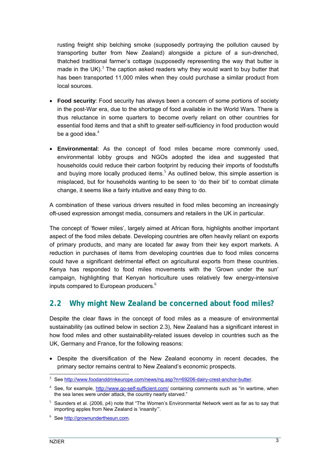<span id="page-10-0"></span>rusting freight ship belching smoke (supposedly portraying the pollution caused by transporting butter from New Zealand) alongside a picture of a sun-drenched, thatched traditional farmer's cottage (supposedly representing the way that butter is madein the UK). $3$  The caption asked readers why they would want to buy butter that has been transported 11,000 miles when they could purchase a similar product from local sources.

- **Food security**: Food security has always been a concern of some portions of society in the post-War era, due to the shortage of food available in the World Wars. There is thus reluctance in some quarters to become overly reliant on other countries for essential food items and that a shift to greater self-sufficiency in food production would be a good idea. $4$
- **Environmental**: As the concept of food miles became more commonly used, environmental lobby groups and NGOs adopted the idea and suggested that households could reduce their carbon footprint by reducing their imports of foodstuffs andbuying more locally produced items.<sup>5</sup> As outlined below, this simple assertion is misplaced, but for households wanting to be seen to 'do their bit' to combat climate change, it seems like a fairly intuitive and easy thing to do.

A combination of these various drivers resulted in food miles becoming an increasingly oft-used expression amongst media, consumers and retailers in the UK in particular.

The concept of 'flower miles', largely aimed at African flora, highlights another important aspect of the food miles debate. Developing countries are often heavily reliant on exports of primary products, and many are located far away from their key export markets. A reduction in purchases of items from developing countries due to food miles concerns could have a significant detrimental effect on agricultural exports from these countries. Kenya has responded to food miles movements with the 'Grown under the sun' campaign, highlighting that Kenyan horticulture uses relatively few energy-intensive inputscompared to European producers. $6$ 

## **2.2 Why might New Zealand be concerned about food miles?**

Despite the clear flaws in the concept of food miles as a measure of environmental sustainability (as outlined below in section [2.3\)](#page-11-1), New Zealand has a significant interest in how food miles and other sustainability-related issues develop in countries such as the UK, Germany and France, for the following reasons:

• Despite the diversification of the New Zealand economy in recent decades, the primary sector remains central to New Zealand's economic prospects.

<span id="page-10-1"></span>3 <sup>3</sup> See [http://www.foodanddrinkeurope.com/news/ng.asp?n=69206-dairy-crest-anchor-butter.](http://www.foodanddrinkeurope.com/news/ng.asp?n=69206-dairy-crest-anchor-butter)

<span id="page-10-2"></span><sup>4</sup> See, for example, <http://www.go-self-sufficient.com/>containing comments such as "in wartime, when the sea lanes were under attack, the country nearly starved."

<span id="page-10-3"></span> $5$  Saunders et al. (2006, p4) note that "The Women's Environmental Network went as far as to say that importing apples from New Zealand is 'insanity'".

<span id="page-10-4"></span><sup>&</sup>lt;sup>6</sup> See [http://grownunderthesun.com](http://grownunderthesun.com/).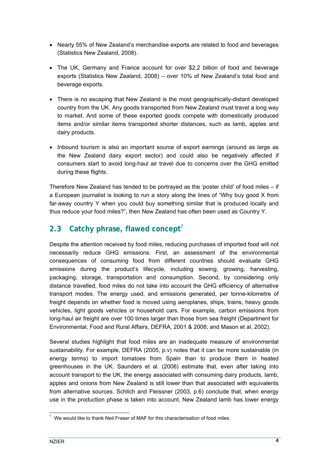- <span id="page-11-0"></span>• Nearly 55% of New Zealand's merchandise exports are related to food and beverages (Statistics New Zealand, 2008).
- The UK, Germany and France account for over \$2.2 billion of food and beverage exports (Statistics New Zealand, 2008) – over 10% of New Zealand's total food and beverage exports.
- There is no escaping that New Zealand is the most geographically-distant developed country from the UK. Any goods transported from New Zealand must travel a long way to market. And some of these exported goods compete with domestically produced items and/or similar items transported shorter distances, such as lamb, apples and dairy products.
- Inbound tourism is also an important source of export earnings (around as large as the New Zealand dairy export sector) and could also be negatively affected if consumers start to avoid long-haul air travel due to concerns over the GHG emitted during these flights.

Therefore New Zealand has tended to be portrayed as the 'poster child' of food miles – if a European journalist is looking to run a story along the lines of "Why buy good X from far-away country Y when you could buy something similar that is produced locally and thus reduce your food miles?", then New Zealand has often been used as Country Y.

## <span id="page-11-1"></span>**2.3 Catchy phrase, flawed concept[7](#page-11-2)**

Despite the attention received by food miles, reducing purchases of imported food will not necessarily reduce GHG emissions. First, an assessment of the environmental consequences of consuming food from different countries should evaluate GHG emissions during the product's lifecycle, including sowing, growing, harvesting, packaging, storage, transportation and consumption. Second, by considering only distance travelled, food miles do not take into account the GHG efficiency of alternative transport modes. The energy used, and emissions generated, per tonne-kilometre of freight depends on whether food is moved using aeroplanes, ships, trains, heavy goods vehicles, light goods vehicles or household cars. For example, carbon emissions from long-haul air freight are over 100 times larger than those from sea freight (Department for Environmental, Food and Rural Affairs, DEFRA, 2001 & 2008; and Mason et al, 2002).

Several studies highlight that food miles are an inadequate measure of environmental sustainability. For example, DEFRA (2005, p.v) notes that it can be more sustainable (in energy terms) to import tomatoes from Spain than to produce them in heated greenhouses in the UK. Saunders et al. (2006) estimate that, even after taking into account transport to the UK, the energy associated with consuming dairy products, lamb, apples and onions from New Zealand is still lower than that associated with equivalents from alternative sources. Schlich and Fleissner (2003, p.6) conclude that, when energy use in the production phase is taken into account, New Zealand lamb has lower energy

<span id="page-11-2"></span><sup>-&</sup>lt;br>7  $\frac{7}{7}$  We would like to thank Neil Fraser of MAF for this characterisation of food miles.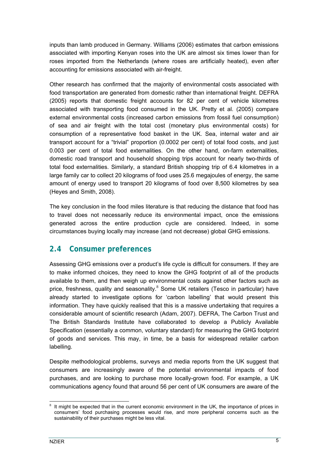<span id="page-12-0"></span>inputs than lamb produced in Germany. Williams (2006) estimates that carbon emissions associated with importing Kenyan roses into the UK are almost six times lower than for roses imported from the Netherlands (where roses are artificially heated), even after accounting for emissions associated with air-freight.

Other research has confirmed that the majority of environmental costs associated with food transportation are generated from domestic rather than international freight. DEFRA (2005) reports that domestic freight accounts for 82 per cent of vehicle kilometres associated with transporting food consumed in the UK. Pretty et al. (2005) compare external environmental costs (increased carbon emissions from fossil fuel consumption) of sea and air freight with the total cost (monetary plus environmental costs) for consumption of a representative food basket in the UK. Sea, internal water and air transport account for a "trivial" proportion (0.0002 per cent) of total food costs, and just 0.003 per cent of total food externalities. On the other hand, on-farm externalities, domestic road transport and household shopping trips account for nearly two-thirds of total food externalities. Similarly, a standard British shopping trip of 6.4 kilometres in a large family car to collect 20 kilograms of food uses 25.6 megajoules of energy, the same amount of energy used to transport 20 kilograms of food over 8,500 kilometres by sea (Heyes and Smith, 2008).

The key conclusion in the food miles literature is that reducing the distance that food has to travel does not necessarily reduce its environmental impact, once the emissions generated across the entire production cycle are considered. Indeed, in some circumstances buying locally may increase (and not decrease) global GHG emissions.

## **2.4 Consumer preferences**

Assessing GHG emissions over a product's life cycle is difficult for consumers. If they are to make informed choices, they need to know the GHG footprint of all of the products available to them, and then weigh up environmental costs against other factors such as price,freshness, quality and seasonality.<sup>8</sup> Some UK retailers (Tesco in particular) have already started to investigate options for 'carbon labelling' that would present this information. They have quickly realised that this is a massive undertaking that requires a considerable amount of scientific research (Adam, 2007). DEFRA, The Carbon Trust and The British Standards Institute have collaborated to develop a Publicly Available Specification (essentially a common, voluntary standard) for measuring the GHG footprint of goods and services. This may, in time, be a basis for widespread retailer carbon labelling.

Despite methodological problems, surveys and media reports from the UK suggest that consumers are increasingly aware of the potential environmental impacts of food purchases, and are looking to purchase more locally-grown food. For example, a UK communications agency found that around 56 per cent of UK consumers are aware of the

<span id="page-12-1"></span>It might be expected that in the current economic environment in the UK, the importance of prices in consumers' food purchasing processes would rise, and more peripheral concerns such as the sustainability of their purchases might be less vital.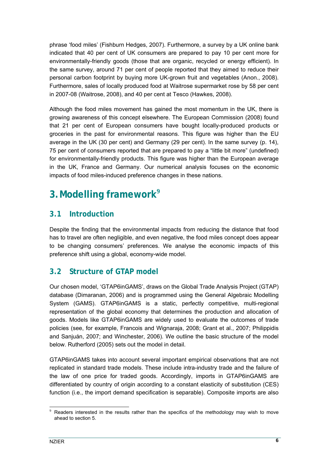<span id="page-13-0"></span>phrase 'food miles' (Fishburn Hedges, 2007). Furthermore, a survey by a UK online bank indicated that 40 per cent of UK consumers are prepared to pay 10 per cent more for environmentally-friendly goods (those that are organic, recycled or energy efficient). In the same survey, around 71 per cent of people reported that they aimed to reduce their personal carbon footprint by buying more UK-grown fruit and vegetables (Anon., 2008). Furthermore, sales of locally produced food at Waitrose supermarket rose by 58 per cent in 2007-08 (Waitrose, 2008), and 40 per cent at Tesco (Hawkes, 2008).

Although the food miles movement has gained the most momentum in the UK, there is growing awareness of this concept elsewhere. The European Commission (2008) found that 21 per cent of European consumers have bought locally-produced products or groceries in the past for environmental reasons. This figure was higher than the EU average in the UK (30 per cent) and Germany (29 per cent). In the same survey (p. 14), 75 per cent of consumers reported that are prepared to pay a "little bit more" (undefined) for environmentally-friendly products. This figure was higher than the European average in the UK, France and Germany. Our numerical analysis focuses on the economic impacts of food miles-induced preference changes in these nations.

# **3.Modelling framework[9](#page-13-1)**

## **3.1 Introduction**

Despite the finding that the environmental impacts from reducing the distance that food has to travel are often negligible, and even negative, the food miles concept does appear to be changing consumers' preferences. We analyse the economic impacts of this preference shift using a global, economy-wide model.

## **3.2 Structure of GTAP model**

Our chosen model, 'GTAP6inGAMS', draws on the Global Trade Analysis Project (GTAP) database (Dimaranan, 2006) and is programmed using the General Algebraic Modelling System (GAMS). GTAP6inGAMS is a static, perfectly competitive, multi-regional representation of the global economy that determines the production and allocation of goods. Models like GTAP6inGAMS are widely used to evaluate the outcomes of trade policies (see, for example, Francois and Wignaraja, 2008; Grant et al., 2007; Philippidis and Sanjuán, 2007; and Winchester, 2006). We outline the basic structure of the model below. Rutherford (2005) sets out the model in detail.

GTAP6inGAMS takes into account several important empirical observations that are not replicated in standard trade models. These include intra-industry trade and the failure of the law of one price for traded goods. Accordingly, imports in GTAP6inGAMS are differentiated by country of origin according to a constant elasticity of substitution (CES) function (i.e., the import demand specification is separable). Composite imports are also

<span id="page-13-1"></span> $9$  Readers interested in the results rather than the specifics of the methodology may wish to move ahead to section 5.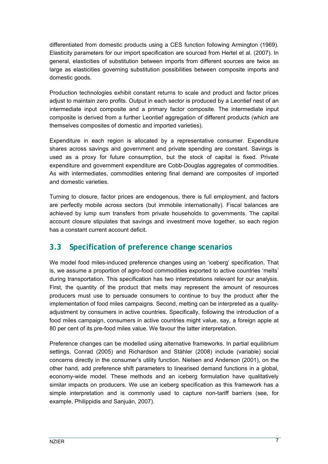<span id="page-14-0"></span>differentiated from domestic products using a CES function following Armington (1969). Elasticity parameters for our import specification are sourced from Hertel et al. (2007). In general, elasticities of substitution between imports from different sources are twice as large as elasticities governing substitution possibilities between composite imports and domestic goods.

Production technologies exhibit constant returns to scale and product and factor prices adjust to maintain zero profits. Output in each sector is produced by a Leontief nest of an intermediate input composite and a primary factor composite. The intermediate input composite is derived from a further Leontief aggregation of different products (which are themselves composites of domestic and imported varieties).

Expenditure in each region is allocated by a representative consumer. Expenditure shares across savings and government and private spending are constant. Savings is used as a proxy for future consumption, but the stock of capital is fixed. Private expenditure and government expenditure are Cobb-Douglas aggregates of commodities. As with intermediates, commodities entering final demand are composites of imported and domestic varieties.

Turning to closure, factor prices are endogenous, there is full employment, and factors are perfectly mobile across sectors (but immobile internationally). Fiscal balances are achieved by lump sum transfers from private households to governments. The capital account closure stipulates that savings and investment move together, so each region has a constant current account deficit.

## **3.3 Specification of preference change scenarios**

We model food miles-induced preference changes using an 'iceberg' specification. That is, we assume a proportion of agro-food commodities exported to active countries 'melts' during transportation. This specification has two interpretations relevant for our analysis. First, the quantity of the product that melts may represent the amount of resources producers must use to persuade consumers to continue to buy the product after the implementation of food miles campaigns. Second, melting can be interpreted as a qualityadjustment by consumers in active countries. Specifically, following the introduction of a food miles campaign, consumers in active countries might value, say, a foreign apple at 80 per cent of its pre-food miles value. We favour the latter interpretation.

Preference changes can be modelled using alternative frameworks. In partial equilibrium settings, Conrad (2005) and Richardson and Stähler (2008) include (variable) social concerns directly in the consumer's utility function. Nielsen and Anderson (2001), on the other hand, add preference shift parameters to linearised demand functions in a global, economy-wide model. These methods and an iceberg formulation have qualitatively similar impacts on producers. We use an iceberg specification as this framework has a simple interpretation and is commonly used to capture non-tariff barriers (see, for example, Philippidis and Sanjuán, 2007).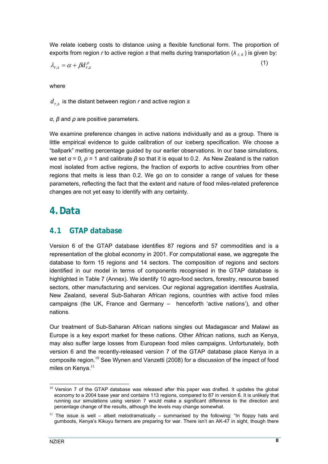<span id="page-15-0"></span>We relate iceberg costs to distance using a flexible functional form. The proportion of exports from region *r* to active region *s* that melts during transportation (*λ r, s* ) is given by:

$$
\lambda_{r,s} = \alpha + \beta d_{r,s}^{\rho} \tag{1}
$$

where

*dr*,*s* is the distant between region *r* and active region *s*

*α*, *β* and *ρ* are positive parameters.

We examine preference changes in active nations individually and as a group. There is little empirical evidence to guide calibration of our iceberg specification. We choose a "ballpark" melting percentage guided by our earlier observations. In our base simulations, we set *α* = 0, *ρ* = 1 and calibrate *β* so that it is equal to 0.2. As New Zealand is the nation most isolated from active regions, the fraction of exports to active countries from other regions that melts is less than 0.2. We go on to consider a range of values for these parameters, reflecting the fact that the extent and nature of food miles-related preference changes are not yet easy to identify with any certainty.

# **4.Data**

### **4.1 GTAP database**

Version 6 of the GTAP database identifies 87 regions and 57 commodities and is a representation of the global economy in 2001. For computational ease, we aggregate the database to form 15 regions and 14 sectors. The composition of regions and sectors identified in our model in terms of components recognised in the GTAP database is highlighted in [Table 7 \(](#page-31-1)Annex). We identify 10 agro-food sectors, forestry, resource based sectors, other manufacturing and services. Our regional aggregation identifies Australia, New Zealand, several Sub-Saharan African regions, countries with active food miles campaigns (the UK, France and Germany – henceforth 'active nations'), and other nations.

Our treatment of Sub-Saharan African nations singles out Madagascar and Malawi as Europe is a key export market for these nations. Other African nations, such as Kenya, may also suffer large losses from European food miles campaigns. Unfortunately, both version 6 and the recently-released version 7 of the GTAP database place Kenya in a composite region.<sup>10</sup> [S](#page-15-1)ee Wynen and Vanzetti (2008) for a discussion of the impact of food miles on Kenya. $11$ 

<span id="page-15-1"></span><sup>&</sup>lt;sup>10</sup> Version 7 of the GTAP database was released after this paper was drafted. It updates the global economy to a 2004 base year and contains 113 regions, compared to 87 in version 6. It is unlikely that running our simulations using version 7 would make a significant difference to the direction and percentage change of the results, although the levels may change somewhat.

<span id="page-15-2"></span> $11$  The issue is well – albeit melodramatically – summarised by the following: "In floppy hats and gumboots, Kenya's Kikuyu farmers are preparing for war. There isn't an AK-47 in sight, though there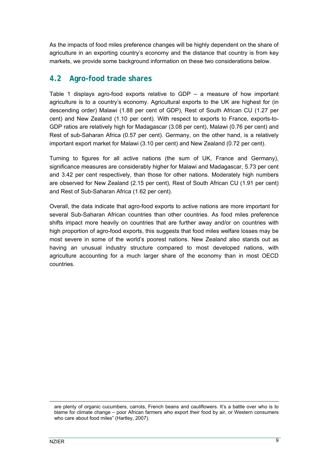<span id="page-16-0"></span>As the impacts of food miles preference changes will be highly dependent on the share of agriculture in an exporting country's economy and the distance that country is from key markets, we provide some background information on these two considerations below.

## **4.2 Agro-food trade shares**

[Table 1](#page-17-1) displays agro-food exports relative to GDP – a measure of how important agriculture is to a country's economy. Agricultural exports to the UK are highest for (in descending order) Malawi (1.88 per cent of GDP), Rest of South African CU (1.27 per cent) and New Zealand (1.10 per cent). With respect to exports to France, exports-to-GDP ratios are relatively high for Madagascar (3.08 per cent), Malawi (0.76 per cent) and Rest of sub-Saharan Africa (0.57 per cent). Germany, on the other hand, is a relatively important export market for Malawi (3.10 per cent) and New Zealand (0.72 per cent).

Turning to figures for all active nations (the sum of UK, France and Germany), significance measures are considerably higher for Malawi and Madagascar, 5.73 per cent and 3.42 per cent respectively, than those for other nations. Moderately high numbers are observed for New Zealand (2.15 per cent), Rest of South African CU (1.91 per cent) and Rest of Sub-Saharan Africa (1.62 per cent).

Overall, the data indicate that agro-food exports to active nations are more important for several Sub-Saharan African countries than other countries. As food miles preference shifts impact more heavily on countries that are further away and/or on countries with high proportion of agro-food exports, this suggests that food miles welfare losses may be most severe in some of the world's poorest nations. New Zealand also stands out as having an unusual industry structure compared to most developed nations, with agriculture accounting for a much larger share of the economy than in most OECD countries.

1

are plenty of organic cucumbers, carrots, French beans and cauliflowers. It's a battle over who is to blame for climate change – poor African farmers who export their food by air, or Western consumers who care about food miles" (Hartley, 2007).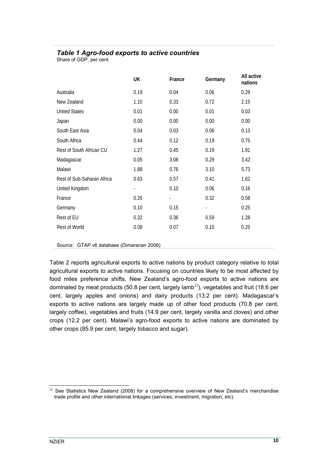### <span id="page-17-1"></span><span id="page-17-0"></span>*Table 1 Agro-food exports to active countries*

Share of GDP, per cent

|                            | UK                       | France                   | Germany                  | All active<br>nations |
|----------------------------|--------------------------|--------------------------|--------------------------|-----------------------|
| Australia                  | 0.19                     | 0.04                     | 0.06                     | 0.29                  |
| New Zealand                | 1.10                     | 0.33                     | 0.72                     | 2.15                  |
| <b>United States</b>       | 0.01                     | 0.00                     | 0.01                     | 0.03                  |
| Japan                      | 0.00                     | 0.00                     | 0.00                     | 0.00                  |
| South East Asia            | 0.04                     | 0.03                     | 0.06                     | 0.13                  |
| South Africa               | 0.44                     | 0.12                     | 0.19                     | 0.75                  |
| Rest of South African CU   | 1.27                     | 0.45                     | 0.19                     | 1.91                  |
| Madagascar                 | 0.05                     | 3.08                     | 0.29                     | 3.42                  |
| Malawi                     | 1.88                     | 0.76                     | 3.10                     | 5.73                  |
| Rest of Sub-Saharan Africa | 0.63                     | 0.57                     | 0.41                     | 1.62                  |
| United Kingdom             | $\overline{\phantom{a}}$ | 0.10                     | 0.06                     | 0.16                  |
| France                     | 0.26                     | $\overline{\phantom{a}}$ | 0.32                     | 0.58                  |
| Germany                    | 0.10                     | 0.15                     | $\overline{\phantom{a}}$ | 0.25                  |
| Rest of EU                 | 0.32                     | 0.36                     | 0.59                     | 1.28                  |
| Rest of World              | 0.08                     | 0.07                     | 0.10                     | 0.25                  |

Source: GTAP v6 database (Dimaranan 2006)

[Table 2](#page-18-1) reports agricultural exports to active nations by product category relative to total agricultural exports to active nations. Focusing on countries likely to be most affected by food miles preference shifts, New Zealand's agro-food exports to active nations are dominated by meat products (50.8 per cent, largely lamb<sup>[12](#page-17-2)</sup>), vegetables and fruit (18.6 per cent, largely apples and onions) and dairy products (13.2 per cent). Madagascar's exports to active nations are largely made up of other food products (70.8 per cent, largely coffee), vegetables and fruits (14.9 per cent, largely vanilla and cloves) and other crops (12.2 per cent). Malawi's agro-food exports to active nations are dominated by other crops (85.9 per cent, largely tobacco and sugar).

<span id="page-17-2"></span> $12$  See Statistics New Zealand (2008) for a comprehensive overview of New Zealand's merchandise trade profile and other international linkages (services, investment, migration, etc).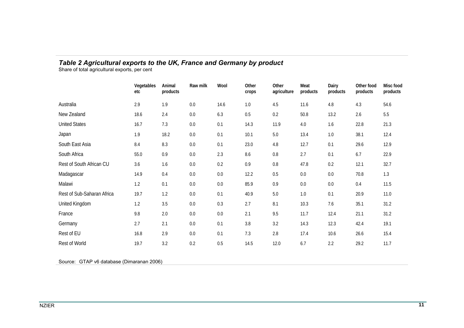### *Table 2 Agricultural exports to the UK, France and Germany by product*

Share of total agricultural exports, per cent

|                            | Vegetables<br>etc | Animal<br>products | Raw milk | Wool | Other<br>crops | Other<br>agriculture | Meat<br>products | Dairy<br>products | Other food<br>products | Misc food<br>products |
|----------------------------|-------------------|--------------------|----------|------|----------------|----------------------|------------------|-------------------|------------------------|-----------------------|
| Australia                  | 2.9               | 1.9                | 0.0      | 14.6 | 1.0            | 4.5                  | 11.6             | 4.8               | 4.3                    | 54.6                  |
| New Zealand                | 18.6              | 2.4                | 0.0      | 6.3  | 0.5            | 0.2                  | 50.8             | 13.2              | 2.6                    | 5.5                   |
| <b>United States</b>       | 16.7              | 7.3                | 0.0      | 0.1  | 14.3           | 11.9                 | 4.0              | 1.6               | 22.8                   | 21.3                  |
| Japan                      | 1.9               | 18.2               | 0.0      | 0.1  | 10.1           | 5.0                  | 13.4             | 1.0               | 38.1                   | 12.4                  |
| South East Asia            | 8.4               | 8.3                | 0.0      | 0.1  | 23.0           | 4.8                  | 12.7             | 0.1               | 29.6                   | 12.9                  |
| South Africa               | 55.0              | 0.9                | 0.0      | 2.3  | 8.6            | 0.8                  | 2.7              | 0.1               | 6.7                    | 22.9                  |
| Rest of South African CU   | 3.6               | 1.6                | 0.0      | 0.2  | 0.9            | $0.8\,$              | 47.8             | 0.2               | 12.1                   | 32.7                  |
| Madagascar                 | 14.9              | 0.4                | 0.0      | 0.0  | 12.2           | 0.5                  | 0.0              | 0.0               | 70.8                   | 1.3                   |
| Malawi                     | 1.2               | 0.1                | 0.0      | 0.0  | 85.9           | 0.9                  | 0.0              | 0.0               | 0.4                    | 11.5                  |
| Rest of Sub-Saharan Africa | 19.7              | 1.2                | 0.0      | 0.1  | 40.9           | 5.0                  | 1.0              | 0.1               | 20.9                   | 11.0                  |
| United Kingdom             | 1.2               | 3.5                | 0.0      | 0.3  | 2.7            | 8.1                  | 10.3             | 7.6               | 35.1                   | 31.2                  |
| France                     | 9.8               | 2.0                | 0.0      | 0.0  | 2.1            | 9.5                  | 11.7             | 12.4              | 21.1                   | 31.2                  |
| Germany                    | 2.7               | 2.1                | 0.0      | 0.1  | 3.8            | 3.2                  | 14.3             | 12.3              | 42.4                   | 19.1                  |
| Rest of EU                 | 16.8              | 2.9                | 0.0      | 0.1  | 7.3            | 2.8                  | 17.4             | 10.6              | 26.6                   | 15.4                  |
| Rest of World              | 19.7              | 3.2                | 0.2      | 0.5  | 14.5           | 12.0                 | 6.7              | 2.2               | 29.2                   | 11.7                  |

<span id="page-18-1"></span><span id="page-18-0"></span>Source: GTAP v6 database (Dimaranan 2006)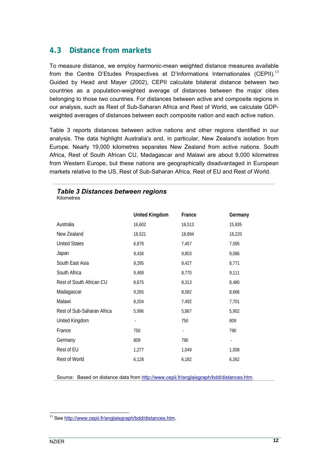## <span id="page-19-0"></span>**4.3 Distance from markets**

To measure distance, we employ harmonic-mean weighted distance measures available from the Centre D'Etudes Prospectives et D'Informations Internationales (CEPII).<sup>[13](#page-19-2)</sup> Guided by Head and Mayer (2002), CEPII calculate bilateral distance between two countries as a population-weighted average of distances between the major cities belonging to those two countries. For distances between active and composite regions in our analysis, such as Rest of Sub-Saharan Africa and Rest of World, we calculate GDPweighted averages of distances between each composite nation and each active nation.

[Table 3](#page-19-1) reports distances between active nations and other regions identified in our analysis. The data highlight Australia's and, in particular, New Zealand's isolation from Europe. Nearly 19,000 kilometres separates New Zealand from active nations. South Africa, Rest of South African CU, Madagascar and Malawi are about 9,000 kilometres from Western Europe, but these nations are geographically disadvantaged in European markets relative to the US, Rest of Sub-Saharan Africa, Rest of EU and Rest of World.

#### <span id="page-19-1"></span>*Table 3 Distances between regions*  Kilometres

|                            | <b>United Kingdom</b> | France                   | Germany                  |
|----------------------------|-----------------------|--------------------------|--------------------------|
| Australia                  | 16,602                | 16,513                   | 15,935                   |
| New Zealand                | 18,521                | 18,894                   | 18,220                   |
| <b>United States</b>       | 6,878                 | 7,457                    | 7,595                    |
| Japan                      | 9,436                 | 9,803                    | 9,086                    |
| South East Asia            | 9,295                 | 9,427                    | 8,771                    |
| South Africa               | 9,489                 | 8,770                    | 9,111                    |
| Rest of South African CU   | 8,675                 | 8,313                    | 8,480                    |
| Madagascar                 | 9,265                 | 8,582                    | 8,666                    |
| Malawi                     | 8,204                 | 7,492                    | 7,701                    |
| Rest of Sub-Saharan Africa | 5,996                 | 5,867                    | 5,902                    |
| United Kingdom             |                       | 750                      | 809                      |
| France                     | 750                   | $\overline{\phantom{a}}$ | 790                      |
| Germany                    | 809                   | 790                      | $\overline{\phantom{a}}$ |
| Rest of EU                 | 1,277                 | 1,049                    | 1,008                    |
| Rest of World              | 6,128                 | 6,182                    | 6,262                    |

Source: Based on distance data from [http://www.cepii.fr/anglaisgraph/bdd/distances.htm.](http://www.cepii.fr/anglaisgraph/bdd/distances.htm)

<span id="page-19-2"></span><sup>13</sup> See <http://www.cepii.fr/anglaisgraph/bdd/distances.htm>.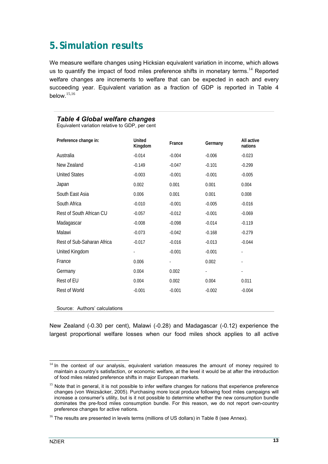# <span id="page-20-0"></span>**5.Simulation results**

We measure welfare changes using Hicksian equivalent variation in income, which allows usto quantify the impact of food miles preference shifts in monetary terms.<sup>14</sup> Reported welfare changes are increments to welfare that can be expected in each and every succeeding year. Equivalent variation as a fraction of GDP is reported in [Table 4](#page-20-1)  below $15,16$  $15,16$ 

### <span id="page-20-1"></span>*Table 4 Global welfare changes*

Equivalent variation relative to GDP, per cent

| Preference change in:      | <b>United</b><br>Kingdom | France   | Germany  | All active<br>nations    |
|----------------------------|--------------------------|----------|----------|--------------------------|
| Australia                  | $-0.014$                 | $-0.004$ | $-0.006$ | $-0.023$                 |
| New Zealand                | $-0.149$                 | $-0.047$ | $-0.101$ | $-0.299$                 |
| <b>United States</b>       | $-0.003$                 | $-0.001$ | $-0.001$ | $-0.005$                 |
| Japan                      | 0.002                    | 0.001    | 0.001    | 0.004                    |
| South East Asia            | 0.006                    | 0.001    | 0.001    | 0.008                    |
| South Africa               | $-0.010$                 | $-0.001$ | $-0.005$ | $-0.016$                 |
| Rest of South African CU   | $-0.057$                 | $-0.012$ | $-0.001$ | $-0.069$                 |
| Madagascar                 | $-0.008$                 | $-0.098$ | $-0.014$ | $-0.119$                 |
| Malawi                     | $-0.073$                 | $-0.042$ | $-0.168$ | $-0.279$                 |
| Rest of Sub-Saharan Africa | $-0.017$                 | $-0.016$ | $-0.013$ | $-0.044$                 |
| United Kingdom             | $\frac{1}{2}$            | $-0.001$ | $-0.001$ | ٠                        |
| France                     | 0.006                    | ÷        | 0.002    | ٠                        |
| Germany                    | 0.004                    | 0.002    | ÷.       | $\overline{\phantom{a}}$ |
| Rest of EU                 | 0.004                    | 0.002    | 0.004    | 0.011                    |
| Rest of World              | $-0.001$                 | $-0.001$ | $-0.002$ | $-0.004$                 |
|                            |                          |          |          |                          |

Source: Authors' calculations

New Zealand (-0.30 per cent), Malawi (-0.28) and Madagascar (-0.12) experience the largest proportional welfare losses when our food miles shock applies to all active

<span id="page-20-2"></span> $14$  In the context of our analysis, equivalent variation measures the amount of money required to maintain a country's satisfaction, or economic welfare, at the level it would be at after the introduction of food miles related preference shifts in major European markets.

<span id="page-20-3"></span><sup>&</sup>lt;sup>15</sup> Note that in general, it is not possible to infer welfare changes for nations that experience preference changes (von Weizsäcker, 2005). Purchasing more local produce following food miles campaigns will increase a consumer's utility, but is it not possible to determine whether the new consumption bundle dominates the pre-food miles consumption bundle. For this reason, we do not report own-country preference changes for active nations.

<span id="page-20-4"></span> $16$  The results are presented in levels terms (millions of US dollars) in Table 8 (see Annex).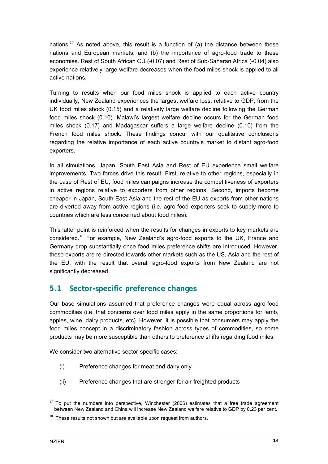<span id="page-21-0"></span>nations.<sup>[17](#page-21-1)</sup> As noted above, this result is a function of (a) the distance between these nations and European markets, and (b) the importance of agro-food trade to these economies. Rest of South African CU (-0.07) and Rest of Sub-Saharan Africa (-0.04) also experience relatively large welfare decreases when the food miles shock is applied to all active nations.

Turning to results when our food miles shock is applied to each active country individually, New Zealand experiences the largest welfare loss, relative to GDP, from the UK food miles shock (0.15) and a relatively large welfare decline following the German food miles shock (0.10). Malawi's largest welfare decline occurs for the German food miles shock (0.17) and Madagascar suffers a large welfare decline (0.10) from the French food miles shock. These findings concur with our qualitative conclusions regarding the relative importance of each active country's market to distant agro-food exporters.

In all simulations, Japan, South East Asia and Rest of EU experience small welfare improvements. Two forces drive this result. First, relative to other regions, especially in the case of Rest of EU, food miles campaigns increase the competitiveness of exporters in active regions relative to exporters from other regions. Second, imports become cheaper in Japan, South East Asia and the rest of the EU as exports from other nations are diverted away from active regions (i.e. agro-food exporters seek to supply more to countries which are less concerned about food miles).

This latter point is reinforced when the results for changes in exports to key markets are considered.<sup>18</sup>For example, New Zealand's agro-food exports to the UK, France and Germany drop substantially once food miles preference shifts are introduced. However, these exports are re-directed towards other markets such as the US, Asia and the rest of the EU, with the result that overall agro-food exports from New Zealand are not significantly decreased.

## **5.1 Sector-specific preference changes**

Our base simulations assumed that preference changes were equal across agro-food commodities (i.e. that concerns over food miles apply in the same proportions for lamb, apples, wine, dairy products, etc). However, it is possible that consumers may apply the food miles concept in a discriminatory fashion across types of commodities, so some products may be more susceptible than others to preference shifts regarding food miles.

We consider two alternative sector-specific cases:

- (i) Preference changes for meat and dairy only
- (ii) Preference changes that are stronger for air-freighted products

<span id="page-21-1"></span> $17$  To put the numbers into perspective, Winchester (2006) estimates that a free trade agreement between New Zealand and China will increase New Zealand welfare relative to GDP by 0.23 per cent.

<span id="page-21-2"></span> $18$  These results not shown but are available upon request from authors.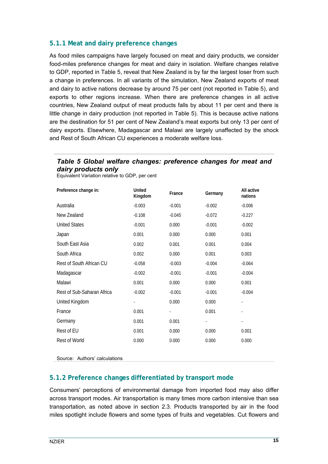### <span id="page-22-0"></span>**5.1.1 Meat and dairy preference changes**

As food miles campaigns have largely focused on meat and dairy products, we consider food-miles preference changes for meat and dairy in isolation. Welfare changes relative to GDP, reported in [Table 5,](#page-22-1) reveal that New Zealand is by far the largest loser from such a change in preferences. In all variants of the simulation, New Zealand exports of meat and dairy to active nations decrease by around 75 per cent (not reported in [Table 5\)](#page-22-1), and exports to other regions increase. When there are preference changes in all active countries, New Zealand output of meat products falls by about 11 per cent and there is little change in dairy production (not reported in [Table 5\)](#page-22-1). This is because active nations are the destination for 51 per cent of New Zealand's meat exports but only 13 per cent of dairy exports. Elsewhere, Madagascar and Malawi are largely unaffected by the shock and Rest of South African CU experiences a moderate welfare loss.

## <span id="page-22-1"></span>*Table 5 Global welfare changes: preference changes for meat and dairy products only*

| Preference change in:      | <b>United</b><br>Kingdom | France   | Germany                  | All active<br>nations |
|----------------------------|--------------------------|----------|--------------------------|-----------------------|
| Australia                  | $-0.003$                 | $-0.001$ | $-0.002$                 | $-0.006$              |
| New Zealand                | $-0.108$                 | $-0.045$ | $-0.072$                 | $-0.227$              |
| <b>United States</b>       | $-0.001$                 | 0.000    | $-0.001$                 | $-0.002$              |
| Japan                      | 0.001                    | 0.000    | 0.000                    | 0.001                 |
| South East Asia            | 0.002                    | 0.001    | 0.001                    | 0.004                 |
| South Africa               | 0.002                    | 0.000    | 0.001                    | 0.003                 |
| Rest of South African CU   | $-0.058$                 | $-0.003$ | $-0.004$                 | $-0.064$              |
| Madagascar                 | $-0.002$                 | $-0.001$ | $-0.001$                 | $-0.004$              |
| Malawi                     | 0.001                    | 0.000    | 0.000                    | 0.001                 |
| Rest of Sub-Saharan Africa | $-0.002$                 | $-0.001$ | $-0.001$                 | $-0.004$              |
| United Kingdom             |                          | 0.000    | 0.000                    |                       |
| France                     | 0.001                    |          | 0.001                    |                       |
| Germany                    | 0.001                    | 0.001    | $\overline{\phantom{a}}$ | ٠                     |
| Rest of EU                 | 0.001                    | 0.000    | 0.000                    | 0.001                 |
| Rest of World              | 0.000                    | 0.000    | 0.000                    | 0.000                 |
|                            |                          |          |                          |                       |

Equivalent Variation relative to GDP, per cent

Source: Authors' calculations

### **5.1.2 Preference changes differentiated by transport mode**

Consumers' perceptions of environmental damage from imported food may also differ across transport modes. Air transportation is many times more carbon intensive than sea transportation, as noted above in section [2.3.](#page-11-1) Products transported by air in the food miles spotlight include flowers and some types of fruits and vegetables. Cut flowers and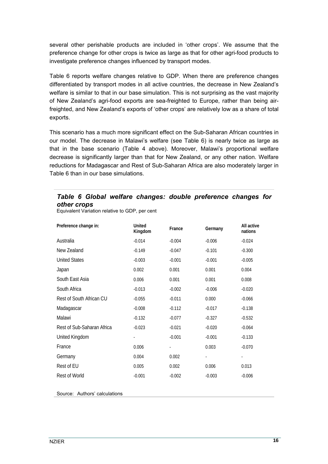<span id="page-23-0"></span>several other perishable products are included in 'other crops'. We assume that the preference change for other crops is twice as large as that for other agri-food products to investigate preference changes influenced by transport modes.

[Table 6](#page-23-1) reports welfare changes relative to GDP. When there are preference changes differentiated by transport modes in all active countries, the decrease in New Zealand's welfare is similar to that in our base simulation. This is not surprising as the vast majority of New Zealand's agri-food exports are sea-freighted to Europe, rather than being airfreighted, and New Zealand's exports of 'other crops' are relatively low as a share of total exports.

This scenario has a much more significant effect on the Sub-Saharan African countries in our model. The decrease in Malawi's welfare (see [Table 6\)](#page-23-1) is nearly twice as large as that in the base scenario ([Table 4](#page-20-1) above). Moreover, Malawi's proportional welfare decrease is significantly larger than that for New Zealand, or any other nation. Welfare reductions for Madagascar and Rest of Sub-Saharan Africa are also moderately larger in [Table 6 t](#page-23-1)han in our base simulations.

### <span id="page-23-1"></span>*Table 6 Global welfare changes: double preference changes for other crops*

Equivalent Variation relative to GDP, per cent

| Preference change in:      | <b>United</b><br>Kingdom | France   | Germany  | All active<br>nations |
|----------------------------|--------------------------|----------|----------|-----------------------|
| Australia                  | $-0.014$                 | $-0.004$ | $-0.006$ | $-0.024$              |
| New Zealand                | $-0.149$                 | $-0.047$ | $-0.101$ | $-0.300$              |
| <b>United States</b>       | $-0.003$                 | $-0.001$ | $-0.001$ | $-0.005$              |
| Japan                      | 0.002                    | 0.001    | 0.001    | 0.004                 |
| South East Asia            | 0.006                    | 0.001    | 0.001    | 0.008                 |
| South Africa               | $-0.013$                 | $-0.002$ | $-0.006$ | $-0.020$              |
| Rest of South African CU   | $-0.055$                 | $-0.011$ | 0.000    | $-0.066$              |
| Madagascar                 | $-0.008$                 | $-0.112$ | $-0.017$ | $-0.138$              |
| Malawi                     | $-0.132$                 | $-0.077$ | $-0.327$ | $-0.532$              |
| Rest of Sub-Saharan Africa | $-0.023$                 | $-0.021$ | $-0.020$ | $-0.064$              |
| United Kingdom             |                          | $-0.001$ | $-0.001$ | $-0.133$              |
| France                     | 0.006                    |          | 0.003    | $-0.070$              |
| Germany                    | 0.004                    | 0.002    | ٠        |                       |
| Rest of EU                 | 0.005                    | 0.002    | 0.006    | 0.013                 |
| Rest of World              | $-0.001$                 | $-0.002$ | $-0.003$ | $-0.006$              |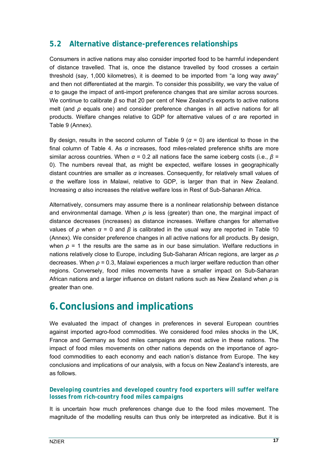## <span id="page-24-0"></span>**5.2 Alternative distance-preferences relationships**

Consumers in active nations may also consider imported food to be harmful independent of distance travelled. That is, once the distance travelled by food crosses a certain threshold (say, 1,000 kilometres), it is deemed to be imported from "a long way away" and then not differentiated at the margin. To consider this possibility, we vary the value of *α* to gauge the impact of anti-import preference changes that are similar across sources. We continue to calibrate *β* so that 20 per cent of New Zealand's exports to active nations melt (and *ρ* equals one) and consider preference changes in all active nations for all products. Welfare changes relative to GDP for alternative values of *α* are reported in [Table 9 \(](#page-33-1)Annex).

By design, results in the second column of [Table 9](#page-33-1) ( $\alpha$  = 0) are identical to those in the final column of [Table 4.](#page-20-1) As *α* increases, food miles-related preference shifts are more similar across countries. When *α* = 0.2 all nations face the same iceberg costs (i.e., *β* = 0). The numbers reveal that, as might be expected, welfare losses in geographically distant countries are smaller as *α* increases. Consequently, for relatively small values of *α* the welfare loss in Malawi, relative to GDP, is larger than that in New Zealand. Increasing *α* also increases the relative welfare loss in Rest of Sub-Saharan Africa.

Alternatively, consumers may assume there is a nonlinear relationship between distance and environmental damage. When *ρ* is less (greater) than one, the marginal impact of distance decreases (increases) as distance increases. Welfare changes for alternative values of *ρ* when *α* = 0 and *β* is calibrated in the usual way are reported in [Table 10](#page-34-1)  (Annex). We consider preference changes in all active nations for all products. By design, when  $\rho$  = 1 the results are the same as in our base simulation. Welfare reductions in nations relatively close to Europe, including Sub-Saharan African regions, are larger as *ρ* decreases. When *ρ* = 0.3, Malawi experiences a much larger welfare reduction than other regions. Conversely, food miles movements have a smaller impact on Sub-Saharan African nations and a larger influence on distant nations such as New Zealand when *ρ* is greater than one.

# **6.Conclusions and implications**

We evaluated the impact of changes in preferences in several European countries against imported agro-food commodities. We considered food miles shocks in the UK, France and Germany as food miles campaigns are most active in these nations. The impact of food miles movements on other nations depends on the importance of agrofood commodities to each economy and each nation's distance from Europe. The key conclusions and implications of our analysis, with a focus on New Zealand's interests, are as follows.

### *Developing countries and developed country food exporters will suffer welfare losses from rich-country food miles campaigns*

It is uncertain how much preferences change due to the food miles movement. The magnitude of the modelling results can thus only be interpreted as indicative. But it is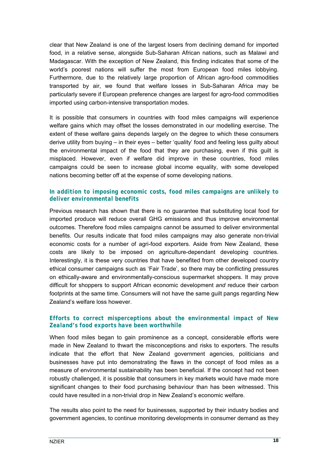clear that New Zealand is one of the largest losers from declining demand for imported food, in a relative sense, alongside Sub-Saharan African nations, such as Malawi and Madagascar. With the exception of New Zealand, this finding indicates that some of the world's poorest nations will suffer the most from European food miles lobbying. Furthermore, due to the relatively large proportion of African agro-food commodities transported by air, we found that welfare losses in Sub-Saharan Africa may be particularly severe if European preference changes are largest for agro-food commodities imported using carbon-intensive transportation modes.

It is possible that consumers in countries with food miles campaigns will experience welfare gains which may offset the losses demonstrated in our modelling exercise. The extent of these welfare gains depends largely on the degree to which these consumers derive utility from buying – in their eyes – better 'quality' food and feeling less guilty about the environmental impact of the food that they are purchasing, even if this guilt is misplaced. However, even if welfare did improve in these countries, food miles campaigns could be seen to increase global income equality, with some developed nations becoming better off at the expense of some developing nations.

### *In addition to imposing economic costs, food miles campaigns are unlikely to deliver environmental benefits*

Previous research has shown that there is no guarantee that substituting local food for imported produce will reduce overall GHG emissions and thus improve environmental outcomes. Therefore food miles campaigns cannot be assumed to deliver environmental benefits. Our results indicate that food miles campaigns may also generate non-trivial economic costs for a number of agri-food exporters. Aside from New Zealand, these costs are likely to be imposed on agriculture-dependant developing countries. Interestingly, it is these very countries that have benefited from other developed country ethical consumer campaigns such as 'Fair Trade', so there may be conflicting pressures on ethically-aware and environmentally-conscious supermarket shoppers. It may prove difficult for shoppers to support African economic development *and* reduce their carbon footprints at the same time. Consumers will not have the same guilt pangs regarding New Zealand's welfare loss however.

### *Efforts to correct misperceptions about the environmental impact of New Zealand's food exports have been worthwhile*

When food miles began to gain prominence as a concept, considerable efforts were made in New Zealand to thwart the misconceptions and risks to exporters. The results indicate that the effort that New Zealand government agencies, politicians and businesses have put into demonstrating the flaws in the concept of food miles as a measure of environmental sustainability has been beneficial. If the concept had not been robustly challenged, it is possible that consumers in key markets would have made more significant changes to their food purchasing behaviour than has been witnessed. This could have resulted in a non-trivial drop in New Zealand's economic welfare.

The results also point to the need for businesses, supported by their industry bodies and government agencies, to continue monitoring developments in consumer demand as they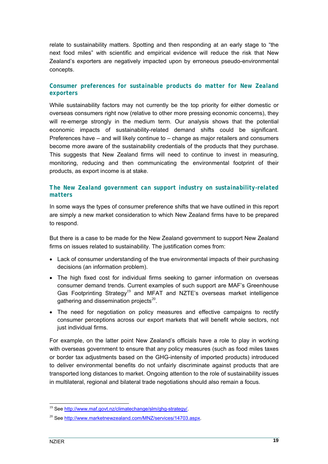relate to sustainability matters. Spotting and then responding at an early stage to "the next food miles" with scientific and empirical evidence will reduce the risk that New Zealand's exporters are negatively impacted upon by erroneous pseudo-environmental concepts.

### *Consumer preferences for sustainable products do matter for New Zealand exporters*

While sustainability factors may not currently be the top priority for either domestic or overseas consumers right now (relative to other more pressing economic concerns), they will re-emerge strongly in the medium term. Our analysis shows that the potential economic impacts of sustainability-related demand shifts could be significant. Preferences have – and will likely continue to – change as major retailers and consumers become more aware of the sustainability credentials of the products that they purchase. This suggests that New Zealand firms will need to continue to invest in measuring, monitoring, reducing and then communicating the environmental footprint of their products, as export income is at stake.

### *The New Zealand government can support industry on sustainability-related matters*

In some ways the types of consumer preference shifts that we have outlined in this report are simply a new market consideration to which New Zealand firms have to be prepared to respond.

But there is a case to be made for the New Zealand government to support New Zealand firms on issues related to sustainability. The justification comes from:

- Lack of consumer understanding of the true environmental impacts of their purchasing decisions (an information problem).
- The high fixed cost for individual firms seeking to garner information on overseas consumer demand trends. Current examples of such support are MAF's Greenhouse Gas Footprinting Strategy<sup>[19](#page-26-0)</sup> and MFAT and NZTE's overseas market intelligence gathering and dissemination projects $20$ .
- The need for negotiation on policy measures and effective campaigns to rectify consumer perceptions across our export markets that will benefit whole sectors, not just individual firms.

For example, on the latter point New Zealand's officials have a role to play in working with overseas government to ensure that any policy measures (such as food miles taxes or border tax adjustments based on the GHG-intensity of imported products) introduced to deliver environmental benefits do not unfairly discriminate against products that are transported long distances to market. Ongoing attention to the role of sustainability issues in multilateral, regional and bilateral trade negotiations should also remain a focus.

<span id="page-26-0"></span><sup>&</sup>lt;sup>19</sup> See [http://www.maf.govt.nz/climatechange/slm/ghg-strategy/.](http://www.maf.govt.nz/climatechange/slm/ghg-strategy/)

<span id="page-26-1"></span><sup>&</sup>lt;sup>20</sup> See [http://www.marketnewzealand.com/MNZ/services/14703.aspx.](http://www.marketnewzealand.com/MNZ/services/14703.aspx)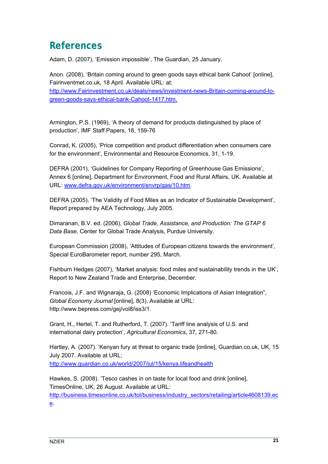# **References**

Adam, D. (2007), 'Emission impossible', The Guardian, 25 January.

Anon. (2008), 'Britain coming around to green goods says ethical bank Cahoot' [online], Fairinventmet.co.uk, 18 April. Available URL: at: http:/[/www.Fairinvestment.co.uk/deals/news/investment-news-Britain-coming-around-to](http://www.fairinvestment.co.uk/deals/news/investment-news-Britain-coming-around-to-green-goods-says-ethical-bank-Cahoot-1417.htm)[green-goods-says-ethical-bank-Cahoot-1417.htm.](http://www.fairinvestment.co.uk/deals/news/investment-news-Britain-coming-around-to-green-goods-says-ethical-bank-Cahoot-1417.htm)

Armington, P.S. (1969), 'A theory of demand for products distinguished by place of production', IMF Staff Papers, 16, 159-76

Conrad, K. (2005), 'Price competition and product differentiation when consumers care for the environment', Environmental and Resource Economics, 31, 1-19.

DEFRA (2001), 'Guidelines for Company Reporting of Greenhouse Gas Emissions', Annex 6 [online], Department for Environment, Food and Rural Affairs, UK. Available at URL: [www.defra.gov.uk/environment/envrp/gas/10.htm.](http://www.defra.gov.uk/environment/envrp/gas/10.htm)

DEFRA (2005), 'The Validity of Food Miles as an Indicator of Sustainable Development', Report prepared by AEA Technology, July 2005.

Dimaranan, B.V. ed. (2006), *Global Trade, Assistance, and Production: The GTAP 6 Data Base*, Center for Global Trade Analysis, Purdue University.

European Commission (2008), 'Attitudes of European citizens towards the environment', Special EuroBarometer report, number 295, March.

Fishburn Hedges (2007), 'Market analysis: food miles and sustainability trends in the UK', Report to New Zealand Trade and Enterprise, December.

Francois, J.F. and Wignaraja, G. (2008) 'Economic Implications of Asian Integration", *Global Economy Journal* [online], 8(3), Available at URL: http://www.bepress.com/gej/vol8/iss3/1.

Grant, H., Hertel, T. and Rutherford, T. (2007). 'Tariff line analysis of U.S. and international dairy protection', *Agricultural Economics*, 37, 271-80.

Hartley, A. (2007). 'Kenyan fury at threat to organic trade [online], Guardian.co.uk, UK, 15 July 2007. Available at URL: <http://www.guardian.co.uk/world/2007/jul/15/kenya.lifeandhealth>

Hawkes, S. (2008). 'Tesco cashes in on taste for local food and drink [online], TimesOnline, UK, 26 August. Available at URL: [http://business.timesonline.co.uk/tol/business/industry\\_sectors/retailing/article4608139.ec](http://business.timesonline.co.uk/tol/business/industry_sectors/retailing/article4608139.ece) [e.](http://business.timesonline.co.uk/tol/business/industry_sectors/retailing/article4608139.ece)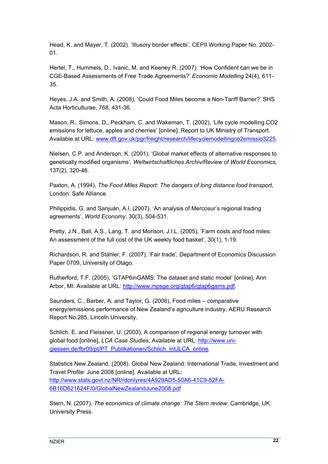Head, K. and Mayer, T. (2002). 'Illusory border effects', CEPII Working Paper No. 2002- 01.

Hertel, T., Hummels, D., Ivanic, M. and Keeney R. (2007). 'How Confident can we be in CGE-Based Assessments of Free Trade Agreements?' *Economic Modelling* 24(4), 611- 35.

Heyes, J.A. and Smith, A. (2008), 'Could Food Miles become a Non-Tariff Barrier?' SHS Acta Horticulturae, 768, 431-36.

Mason, R., Simons, D., Peckham, C. and Wakeman, T. (2002), 'Life cycle modelling CO2 emissions for lettuce, apples and cherries' [online], Report to UK Ministry of Transport. Available at URL: [www.dft.gov.uk/pgr/freight/research/lifecyclemodellingco2emissio3225](http://www.dft.gov.uk/pgr/freight/research/lifecyclemodellingco2emissio3225).

Nielsen, C.P. and Anderson, K. (2001), 'Global market effects of alternative responses to genetically modified organisms', *Weltwirtschaftliches Archiv/Review of World Economics*, 137(2), 320-46.

Paxton, A. (1994), *The Food Miles Report: The dangers of long distance food transport*, London: Safe Alliance.

Philippidis, G. and Sanjuán, A.I. (2007). 'An analysis of Mercosur's regional trading agreements', *World Economy*, 30(3), 504-531.

Pretty, J.N., Ball, A.S., Lang, T. and Morison, J.I.L. (2005), 'Farm costs and food miles: An assessment of the full cost of the UK weekly food basket', 30(1), 1-19.

Richardson, R. and Stähler, F. (2007), 'Fair trade', Department of Economics Discussion Paper 0709, University of Otago.

Rutherford, T.F. (2005), 'GTAP6inGAMS: The dataset and static model' [online], Ann Arbor, MI. Available at URL: <http://www.mpsge.org/gtap6/gtap6gams.pdf>.

Saunders, C., Barber, A. and Taylor, G. (2006), Food miles – comparative energy/emissions performance of New Zealand's agriculture industry, AERU Research Report No.285, Lincoln University.

Schlich. E. and Fleissner, U. (2003), A comparison of regional energy turnover with global food [online], *LCA Case Studies*, Available at URL: [http://www.uni](http://www.uni-giessen.de/fbr09/pt/PT_Publikationen/Schlich_IntJLCA_online)[giessen.de/fbr09/pt/PT\\_Publikationen/Schlich\\_IntJLCA\\_online](http://www.uni-giessen.de/fbr09/pt/PT_Publikationen/Schlich_IntJLCA_online).

Statistics New Zealand. (2008). Global New Zealand: International Trade, Investment and Travel Profile: June 2008 [online]. Available at URL: [http://www.stats.govt.nz/NR/rdonlyres/4A929AD5-50A6-41C9-82FA-](http://www.stats.govt.nz/NR/rdonlyres/4A929AD5-50A6-41C9-82FA-6B16D621624F/0/GlobalNewZealandJune2008.pdf)[6B16D621624F/0/GlobalNewZealandJune2008.pdf](http://www.stats.govt.nz/NR/rdonlyres/4A929AD5-50A6-41C9-82FA-6B16D621624F/0/GlobalNewZealandJune2008.pdf)

Stern, N. (2007), *The economics of climate change: The Stern review*. Cambridge, UK: University Press.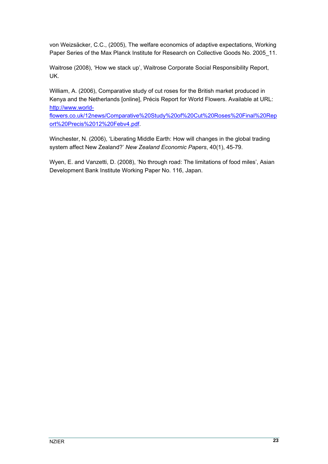von Weizsäcker, C.C., (2005), The welfare economics of adaptive expectations, Working Paper Series of the Max Planck Institute for Research on Collective Goods No. 2005 11.

Waitrose (2008), 'How we stack up', Waitrose Corporate Social Responsibility Report, UK.

William, A. (2006), Comparative study of cut roses for the British market produced in Kenya and the Netherlands [online], Précis Report for World Flowers. Available at URL: [http://www.world-](http://www.world-flowers.co.uk/12news/Comparative Study of Cut Roses Final Report Precis 12 Febv4.pdf)

[flowers.co.uk/12news/Comparative%20Study%20of%20Cut%20Roses%20Final%20Rep](http://www.world-flowers.co.uk/12news/Comparative Study of Cut Roses Final Report Precis 12 Febv4.pdf) [ort%20Precis%2012%20Febv4.pdf.](http://www.world-flowers.co.uk/12news/Comparative Study of Cut Roses Final Report Precis 12 Febv4.pdf)

Winchester, N. (2006), 'Liberating Middle Earth: How will changes in the global trading system affect New Zealand?' *New Zealand Economic Papers*, 40(1), 45-79.

Wyen, E. and Vanzetti, D. (2008), 'No through road: The limitations of food miles', Asian Development Bank Institute Working Paper No. 116, Japan.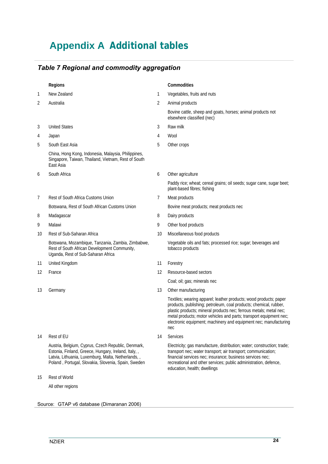# <span id="page-31-0"></span>**Appendix A Additional tables**

## <span id="page-31-1"></span>*Table 7 Regional and commodity aggregation*

|    | Regions                                                                                                                                                                                                                  |    | Commodities                                                                                                                                                                                                                                                                                                                                                   |
|----|--------------------------------------------------------------------------------------------------------------------------------------------------------------------------------------------------------------------------|----|---------------------------------------------------------------------------------------------------------------------------------------------------------------------------------------------------------------------------------------------------------------------------------------------------------------------------------------------------------------|
| 1  | New Zealand                                                                                                                                                                                                              | 1  | Vegetables, fruits and nuts                                                                                                                                                                                                                                                                                                                                   |
| 2  | Australia                                                                                                                                                                                                                | 2  | Animal products                                                                                                                                                                                                                                                                                                                                               |
|    |                                                                                                                                                                                                                          |    | Bovine cattle, sheep and goats, horses; animal products not<br>elsewhere classified (nec)                                                                                                                                                                                                                                                                     |
| 3  | <b>United States</b>                                                                                                                                                                                                     | 3  | Raw milk                                                                                                                                                                                                                                                                                                                                                      |
| 4  | Japan                                                                                                                                                                                                                    | 4  | Wool                                                                                                                                                                                                                                                                                                                                                          |
| 5  | South East Asia                                                                                                                                                                                                          | 5  | Other crops                                                                                                                                                                                                                                                                                                                                                   |
|    | China, Hong Kong, Indonesia, Malaysia, Philippines,<br>Singapore, Taiwan, Thailand, Vietnam, Rest of South<br>East Asia                                                                                                  |    |                                                                                                                                                                                                                                                                                                                                                               |
| 6  | South Africa                                                                                                                                                                                                             | 6  | Other agriculture                                                                                                                                                                                                                                                                                                                                             |
|    |                                                                                                                                                                                                                          |    | Paddy rice; wheat; cereal grains; oil seeds; sugar cane, sugar beet;<br>plant-based fibres; fishing                                                                                                                                                                                                                                                           |
| 7  | Rest of South Africa Customs Union                                                                                                                                                                                       | 7  | Meat products                                                                                                                                                                                                                                                                                                                                                 |
|    | Botswana, Rest of South African Customs Union                                                                                                                                                                            |    | Bovine meat products; meat products nec                                                                                                                                                                                                                                                                                                                       |
| 8  | Madagascar                                                                                                                                                                                                               | 8  | Dairy products                                                                                                                                                                                                                                                                                                                                                |
| 9  | Malawi                                                                                                                                                                                                                   | 9  | Other food products                                                                                                                                                                                                                                                                                                                                           |
| 10 | Rest of Sub-Saharan Africa                                                                                                                                                                                               | 10 | Miscellaneous food products                                                                                                                                                                                                                                                                                                                                   |
|    | Botswana, Mozambique, Tanzania, Zambia, Zimbabwe,<br>Rest of South African Development Community,<br>Uganda, Rest of Sub-Saharan Africa                                                                                  |    | Vegetable oils and fats; processed rice; sugar; beverages and<br>tobacco products                                                                                                                                                                                                                                                                             |
| 11 | United Kingdom                                                                                                                                                                                                           | 11 | Forestry                                                                                                                                                                                                                                                                                                                                                      |
| 12 | France                                                                                                                                                                                                                   | 12 | Resource-based sectors                                                                                                                                                                                                                                                                                                                                        |
|    |                                                                                                                                                                                                                          |    | Coal; oil; gas; minerals nec                                                                                                                                                                                                                                                                                                                                  |
| 13 | Germany                                                                                                                                                                                                                  | 13 | Other manufacturing                                                                                                                                                                                                                                                                                                                                           |
|    |                                                                                                                                                                                                                          |    | Textiles; wearing apparel; leather products; wood products; paper<br>products, publishing; petroleum, coal products; chemical, rubber,<br>plastic products; mineral products nec; ferrous metals; metal nec;<br>metal products; motor vehicles and parts; transport equipment nec;<br>electronic equipment; machinery and equipment nec; manufacturing<br>nec |
| 14 | Rest of EU                                                                                                                                                                                                               | 14 | Services                                                                                                                                                                                                                                                                                                                                                      |
|    | Austria, Belgium, Cyprus, Czech Republic, Denmark,<br>Estonia, Finland, Greece, Hungary, Ireland, Italy, ,<br>Latvia, Lithuania, Luxemburg, Malta, Netherlands, ,<br>Poland, Portugal, Slovakia, Slovenia, Spain, Sweden |    | Electricity; gas manufacture, distribution; water; construction; trade;<br>transport nec; water transport; air transport; communication;<br>financial services nec; insurance; business services nec;<br>recreational and other services; public administration, defence,<br>education, health; dwellings                                                     |
| 15 | <b>Rest of World</b>                                                                                                                                                                                                     |    |                                                                                                                                                                                                                                                                                                                                                               |
|    | All other regions                                                                                                                                                                                                        |    |                                                                                                                                                                                                                                                                                                                                                               |

Source: GTAP v6 database (Dimaranan 2006)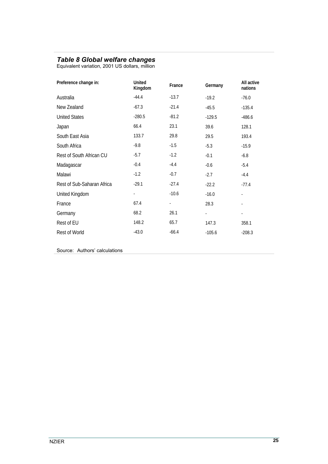### <span id="page-32-0"></span>*Table 8 Global welfare changes*

Equivalent variation, 2001 US dollars, million

| Preference change in:      | <b>United</b><br>Kingdom | France                   | Germany                  | All active<br>nations |
|----------------------------|--------------------------|--------------------------|--------------------------|-----------------------|
| Australia                  | $-44.4$                  | $-13.7$                  | $-19.2$                  | $-76.0$               |
| New Zealand                | $-67.3$                  | $-21.4$                  | $-45.5$                  | $-135.4$              |
| <b>United States</b>       | $-280.5$                 | $-81.2$                  | $-129.5$                 | $-486.6$              |
| Japan                      | 66.4                     | 23.1                     | 39.6                     | 128.1                 |
| South East Asia            | 133.7                    | 29.8                     | 29.5                     | 193.4                 |
| South Africa               | $-9.8$                   | $-1.5$                   | $-5.3$                   | $-15.9$               |
| Rest of South African CU   | $-5.7$                   | $-1.2$                   | $-0.1$                   | $-6.8$                |
| Madagascar                 | $-0.4$                   | $-4.4$                   | $-0.6$                   | $-5.4$                |
| Malawi                     | $-1.2$                   | $-0.7$                   | $-2.7$                   | $-4.4$                |
| Rest of Sub-Saharan Africa | $-29.1$                  | $-27.4$                  | $-22.2$                  | $-77.4$               |
| United Kingdom             | $\overline{\phantom{a}}$ | $-10.6$                  | $-16.0$                  |                       |
| France                     | 67.4                     | $\overline{\phantom{a}}$ | 28.3                     |                       |
| Germany                    | 68.2                     | 26.1                     | $\overline{\phantom{a}}$ | ٠                     |
| Rest of EU                 | 148.2                    | 65.7                     | 147.3                    | 358.1                 |
| <b>Rest of World</b>       | $-43.0$                  | $-66.4$                  | $-105.6$                 | $-208.3$              |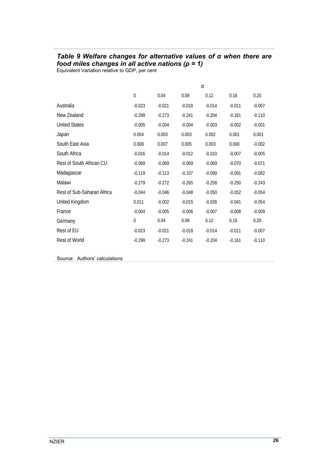## <span id="page-33-1"></span><span id="page-33-0"></span>*Table 9 Welfare changes for alternative values of α when there are food miles changes in all active nations (ρ = 1)*

Equivalent Variation relative to GDP, per cent

|                            | α           |          |          |          |          |          |  |
|----------------------------|-------------|----------|----------|----------|----------|----------|--|
|                            | $\mathbf 0$ | 0.04     | 0.08     | 0.12     | 0.16     | 0.20     |  |
| Australia                  | $-0.023$    | $-0.021$ | $-0.018$ | $-0.014$ | $-0.011$ | $-0.007$ |  |
| New Zealand                | $-0.299$    | $-0.273$ | $-0.241$ | $-0.204$ | $-0.161$ | $-0.110$ |  |
| <b>United States</b>       | $-0.005$    | $-0.004$ | $-0.004$ | $-0.003$ | $-0.002$ | $-0.001$ |  |
| Japan                      | 0.004       | 0.003    | 0.003    | 0.002    | 0.001    | 0.001    |  |
| South East Asia            | 0.008       | 0.007    | 0.005    | 0.003    | 0.000    | $-0.002$ |  |
| South Africa               | $-0.016$    | $-0.014$ | $-0.012$ | $-0.010$ | $-0.007$ | $-0.005$ |  |
| Rest of South African CU   | $-0.069$    | $-0.069$ | $-0.069$ | $-0.069$ | $-0.070$ | $-0.071$ |  |
| Madagascar                 | $-0.119$    | $-0.113$ | $-0.107$ | $-0.099$ | $-0.091$ | $-0.082$ |  |
| Malawi                     | $-0.279$    | $-0.272$ | $-0.265$ | $-0.258$ | $-0.250$ | $-0.243$ |  |
| Rest of Sub-Saharan Africa | $-0.044$    | $-0.046$ | $-0.048$ | $-0.050$ | $-0.052$ | $-0.054$ |  |
| United Kingdom             | 0.011       | $-0.002$ | $-0.015$ | $-0.028$ | $-0.041$ | $-0.054$ |  |
| France                     | $-0.004$    | $-0.005$ | $-0.006$ | $-0.007$ | $-0.008$ | $-0.009$ |  |
| Germany                    | 0           | 0.04     | 0.08     | 0.12     | 0.16     | 0.20     |  |
| Rest of EU                 | $-0.023$    | $-0.021$ | $-0.018$ | $-0.014$ | $-0.011$ | $-0.007$ |  |
| Rest of World              | $-0.299$    | $-0.273$ | $-0.241$ | $-0.204$ | $-0.161$ | $-0.110$ |  |